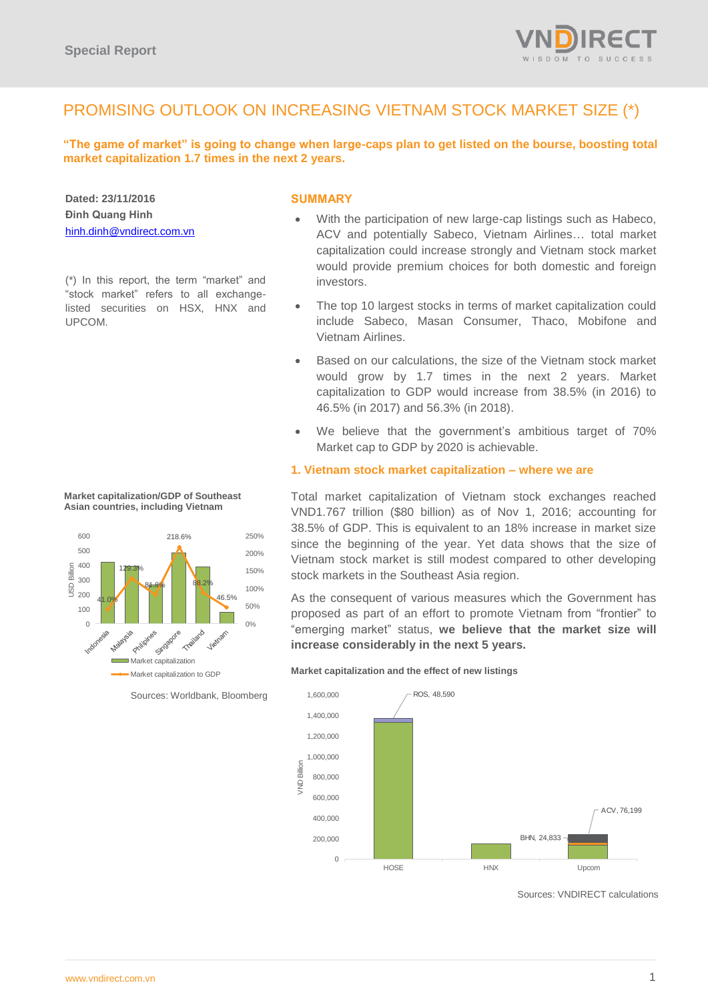

# PROMISING OUTLOOK ON INCREASING VIETNAM STOCK MARKET SIZE (\*)

**"The game of market" is going to change when large-caps plan to get listed on the bourse, boosting total market capitalization 1.7 times in the next 2 years.**

**Dated: 23/11/2016 Đinh Quang Hinh** [hinh.dinh@vndirect.com.vn](mailto:hinh.dinh@vndirect.com.vn)

(\*) In this report, the term "market" and "stock market" refers to all exchangelisted securities on HSX, HNX and UPCOM.

## **SUMMARY**

- With the participation of new large-cap listings such as Habeco, ACV and potentially Sabeco, Vietnam Airlines… total market capitalization could increase strongly and Vietnam stock market would provide premium choices for both domestic and foreign investors.
- The top 10 largest stocks in terms of market capitalization could include Sabeco, Masan Consumer, Thaco, Mobifone and Vietnam Airlines.
- Based on our calculations, the size of the Vietnam stock market would grow by 1.7 times in the next 2 years. Market capitalization to GDP would increase from 38.5% (in 2016) to 46.5% (in 2017) and 56.3% (in 2018).
- We believe that the government's ambitious target of 70% Market cap to GDP by 2020 is achievable.

## **1. Vietnam stock market capitalization – where we are**

Total market capitalization of Vietnam stock exchanges reached VND1.767 trillion (\$80 billion) as of Nov 1, 2016; accounting for 38.5% of GDP. This is equivalent to an 18% increase in market size since the beginning of the year. Yet data shows that the size of Vietnam stock market is still modest compared to other developing stock markets in the Southeast Asia region.

As the consequent of various measures which the Government has proposed as part of an effort to promote Vietnam from "frontier" to "emerging market" status, **we believe that the market size will increase considerably in the next 5 years.**

**Market capitalization and the effect of new listings** 



Sources: VNDIRECT calculations



**Market capitalization/GDP of Southeast Asian countries, including Vietnam**

Sources: Worldbank, Bloomberg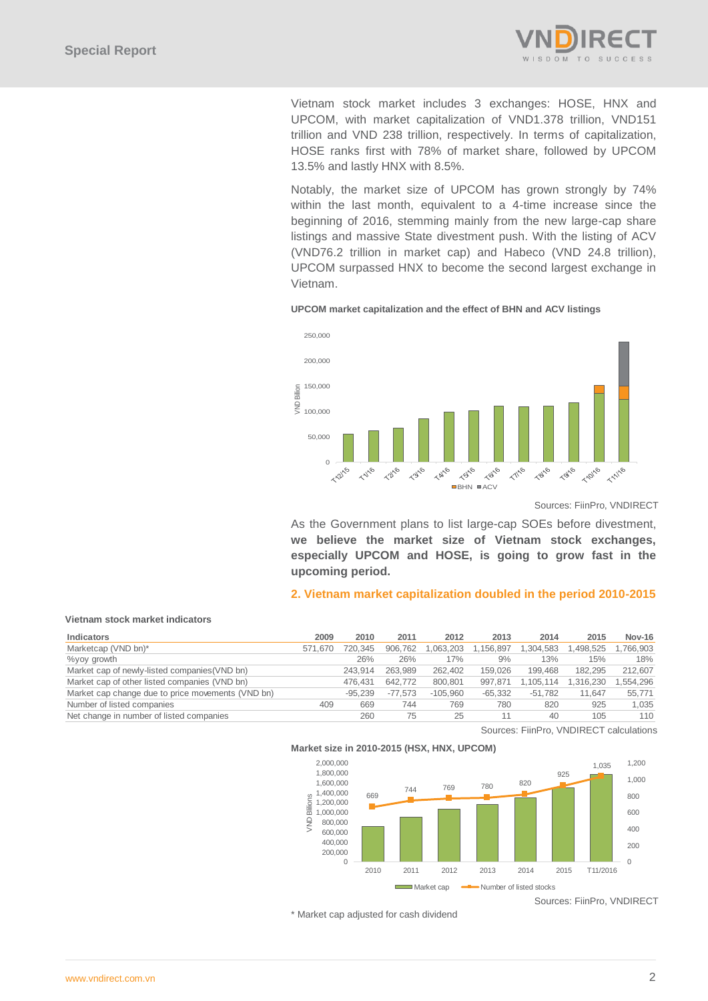

Vietnam stock market includes 3 exchanges: HOSE, HNX and UPCOM, with market capitalization of VND1.378 trillion, VND151 trillion and VND 238 trillion, respectively. In terms of capitalization, HOSE ranks first with 78% of market share, followed by UPCOM 13.5% and lastly HNX with 8.5%.

Notably, the market size of UPCOM has grown strongly by 74% within the last month, equivalent to a 4-time increase since the beginning of 2016, stemming mainly from the new large-cap share listings and massive State divestment push. With the listing of ACV (VND76.2 trillion in market cap) and Habeco (VND 24.8 trillion), UPCOM surpassed HNX to become the second largest exchange in Vietnam.

#### **UPCOM market capitalization and the effect of BHN and ACV listings**



Sources: FiinPro, VNDIRECT

As the Government plans to list large-cap SOEs before divestment, **we believe the market size of Vietnam stock exchanges, especially UPCOM and HOSE, is going to grow fast in the upcoming period.**

### **2. Vietnam market capitalization doubled in the period 2010-2015**

#### **Vietnam stock market indicators**

| Indicators                                        | 2009    | 2010      | 2011      | 2012       | 2013      | 2014      | 2015      | <b>Nov-16</b> |
|---------------------------------------------------|---------|-----------|-----------|------------|-----------|-----------|-----------|---------------|
| Marketcap (VND bn)*                               | 571.670 | 720.345   | 906.762   | 1,063,203  | 1,156,897 | 1,304,583 | 1,498,525 | 1.766.903     |
| %yoy growth                                       |         | 26%       | 26%       | 17%        | 9%        | 13%       | 15%       | 18%           |
| Market cap of newly-listed companies (VND bn)     |         | 243.914   | 263.989   | 262.402    | 159.026   | 199.468   | 182.295   | 212.607       |
| Market cap of other listed companies (VND bn)     |         | 476.431   | 642.772   | 800.801    | 997.871   | 1.105.114 | 1,316,230 | .554,296      |
| Market cap change due to price movements (VND bn) |         | $-95.239$ | $-77.573$ | $-105.960$ | $-65.332$ | $-51.782$ | 11.647    | 55.771        |
| Number of listed companies                        | 409     | 669       | 744       | 769        | 780       | 820       | 925       | 1.035         |
| Net change in number of listed companies          |         | 260       | 75        | 25         |           | 40        | 105       | 110           |

Sources: FiinPro, VNDIRECT calculations



Sources: FiinPro, VNDIRECT

\* Market cap adjusted for cash dividend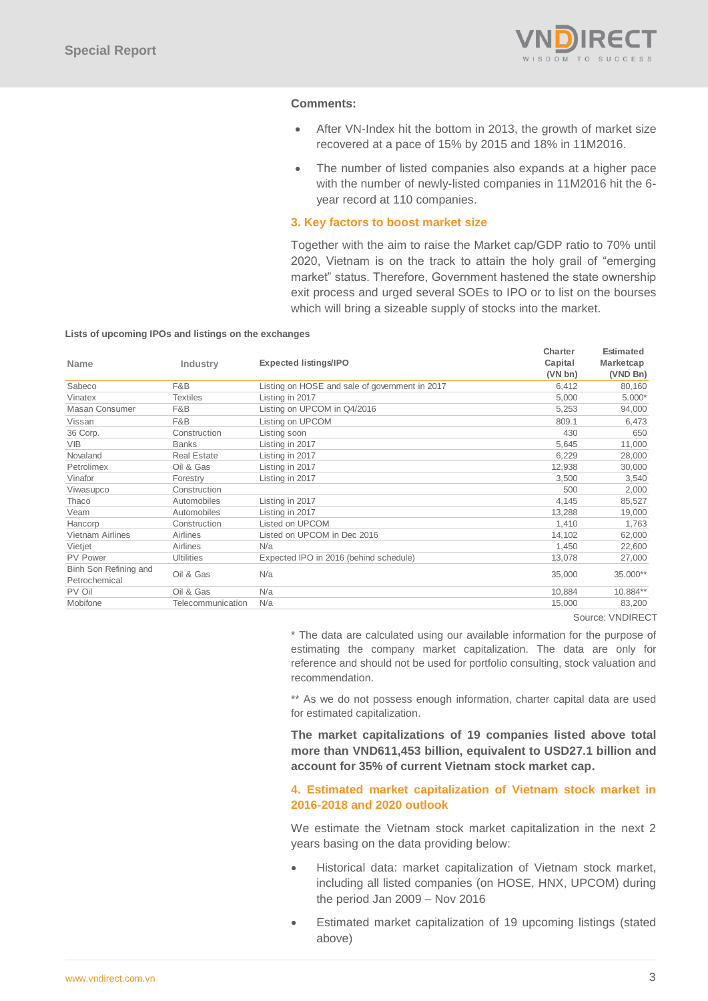

## **Comments:**

- After VN-Index hit the bottom in 2013, the growth of market size recovered at a pace of 15% by 2015 and 18% in 11M2016.
- The number of listed companies also expands at a higher pace with the number of newly-listed companies in 11M2016 hit the 6 year record at 110 companies.

### **3. Key factors to boost market size**

Together with the aim to raise the Market cap/GDP ratio to 70% until 2020, Vietnam is on the track to attain the holy grail of "emerging market" status. Therefore, Government hastened the state ownership exit process and urged several SOEs to IPO or to list on the bourses which will bring a sizeable supply of stocks into the market.

#### **Lists of upcoming IPOs and listings on the exchanges**

|                         |                    |                                                | Charter  | <b>Estimated</b> |
|-------------------------|--------------------|------------------------------------------------|----------|------------------|
| <b>Name</b>             | Industry           | Expected listings/IPO                          | Capital  | Marketcap        |
|                         |                    |                                                | (VN b n) | (VND Bn)         |
| Sabeco                  | F&B                | Listing on HOSE and sale of government in 2017 | 6,412    | 80,160           |
| Vinatex                 | <b>Textiles</b>    | Listing in 2017                                | 5,000    | $5.000*$         |
| Masan Consumer          | F&B                | Listing on UPCOM in Q4/2016                    | 5,253    | 94,000           |
| Vissan                  | F&B                | Listing on UPCOM                               | 809.1    | 6,473            |
| 36 Corp.                | Construction       | Listing soon                                   | 430      | 650              |
| <b>VIB</b>              | <b>Banks</b>       | Listing in 2017                                | 5,645    | 11,000           |
| Novaland                | <b>Real Estate</b> | Listing in 2017                                | 6,229    | 28,000           |
| Petrolimex              | Oil & Gas          | Listing in 2017                                | 12,938   | 30,000           |
| Vinafor                 | Forestry           | Listing in 2017                                | 3.500    | 3,540            |
| Viwasupco               | Construction       |                                                | 500      | 2,000            |
| Thaco                   | Automobiles        | Listing in 2017                                | 4,145    | 85,527           |
| Veam                    | Automobiles        | Listing in 2017                                | 13,288   | 19,000           |
| Hancorp                 | Construction       | Listed on UPCOM                                | 1,410    | 1,763            |
| <b>Vietnam Airlines</b> | Airlines           | Listed on UPCOM in Dec 2016                    | 14,102   | 62,000           |
| Vietjet                 | Airlines           | N/a                                            | 1.450    | 22,600           |
| <b>PV Power</b>         | <b>Ultilities</b>  | Expected IPO in 2016 (behind schedule)         | 13,078   | 27,000           |
| Binh Son Refining and   | Oil & Gas          | N/a                                            | 35,000   | 35.000**         |
| Petrochemical           |                    |                                                |          |                  |
| PV Oil                  | Oil & Gas          | N/a                                            | 10,884   | 10.884**         |
| Mobifone                | Telecommunication  | N/a                                            | 15,000   | 83,200           |
|                         |                    |                                                |          |                  |

Source: VNDIRECT

\* The data are calculated using our available information for the purpose of estimating the company market capitalization. The data are only for reference and should not be used for portfolio consulting, stock valuation and recommendation.

\*\* As we do not possess enough information, charter capital data are used for estimated capitalization.

**The market capitalizations of 19 companies listed above total more than VND611,453 billion, equivalent to USD27.1 billion and account for 35% of current Vietnam stock market cap.** 

## **4. Estimated market capitalization of Vietnam stock market in 2016-2018 and 2020 outlook**

We estimate the Vietnam stock market capitalization in the next 2 years basing on the data providing below:

- Historical data: market capitalization of Vietnam stock market, including all listed companies (on HOSE, HNX, UPCOM) during the period Jan 2009 – Nov 2016
- Estimated market capitalization of 19 upcoming listings (stated above)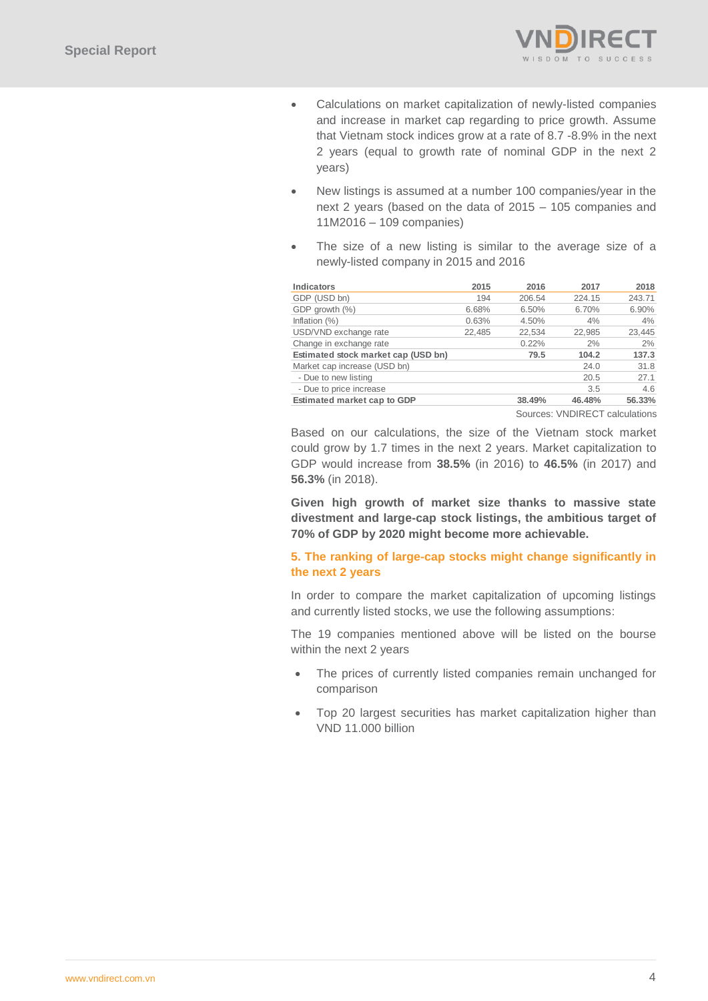

- Calculations on market capitalization of newly-listed companies and increase in market cap regarding to price growth. Assume that Vietnam stock indices grow at a rate of 8.7 -8.9% in the next 2 years (equal to growth rate of nominal GDP in the next 2 years)
- New listings is assumed at a number 100 companies/year in the next 2 years (based on the data of 2015 – 105 companies and 11M2016 – 109 companies)
- The size of a new listing is similar to the average size of a newly-listed company in 2015 and 2016

| <b>Indicators</b>                   | 2015   | 2016   | 2017   | 2018   |
|-------------------------------------|--------|--------|--------|--------|
| GDP (USD bn)                        | 194    | 206.54 | 224.15 | 243.71 |
| GDP growth (%)                      | 6.68%  | 6.50%  | 6.70%  | 6.90%  |
| Inflation $(\%)$                    | 0.63%  | 4.50%  | 4%     | 4%     |
| USD/VND exchange rate               | 22.485 | 22,534 | 22.985 | 23,445 |
| Change in exchange rate             |        | 0.22%  | 2%     | 2%     |
| Estimated stock market cap (USD bn) |        | 79.5   | 104.2  | 137.3  |
| Market cap increase (USD bn)        |        |        | 24.0   | 31.8   |
| - Due to new listing                |        |        | 20.5   | 27.1   |
| - Due to price increase             |        |        | 3.5    | 4.6    |
| Estimated market cap to GDP         |        | 38.49% | 46.48% | 56.33% |
|                                     |        |        |        |        |

Sources: VNDIRECT calculations

Based on our calculations, the size of the Vietnam stock market could grow by 1.7 times in the next 2 years. Market capitalization to GDP would increase from **38.5%** (in 2016) to **46.5%** (in 2017) and **56.3%** (in 2018).

**Given high growth of market size thanks to massive state divestment and large-cap stock listings, the ambitious target of 70% of GDP by 2020 might become more achievable.**

## **5. The ranking of large-cap stocks might change significantly in the next 2 years**

In order to compare the market capitalization of upcoming listings and currently listed stocks, we use the following assumptions:

The 19 companies mentioned above will be listed on the bourse within the next 2 years

- The prices of currently listed companies remain unchanged for comparison
- Top 20 largest securities has market capitalization higher than VND 11.000 billion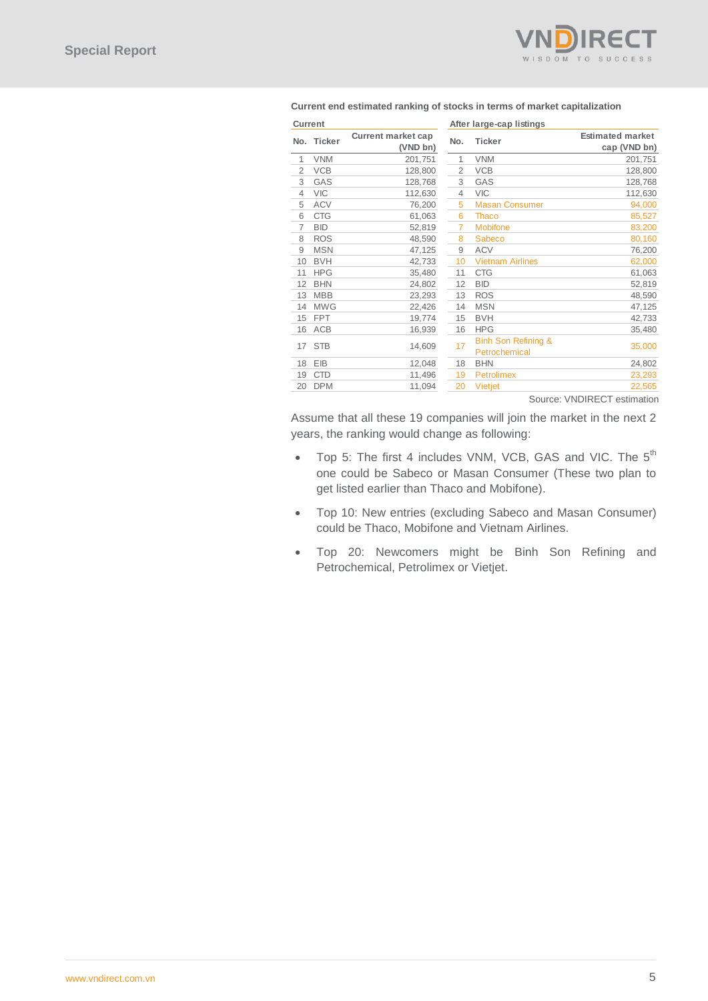

| <b>Current</b> |            |                                       |                | After large-cap listings                        |                                         |
|----------------|------------|---------------------------------------|----------------|-------------------------------------------------|-----------------------------------------|
|                | No. Ticker | <b>Current market cap</b><br>(VND bn) | No.            | <b>Ticker</b>                                   | <b>Estimated market</b><br>cap (VND bn) |
| 1              | <b>VNM</b> | 201,751                               | 1              | <b>VNM</b>                                      | 201,751                                 |
| $\overline{2}$ | <b>VCB</b> | 128,800                               | $\overline{2}$ | <b>VCB</b>                                      | 128,800                                 |
| 3              | GAS        | 128,768                               | 3              | GAS                                             | 128,768                                 |
| 4              | <b>VIC</b> | 112,630                               | $\overline{4}$ | <b>VIC</b>                                      | 112,630                                 |
| 5              | <b>ACV</b> | 76,200                                | 5              | <b>Masan Consumer</b>                           | 94,000                                  |
| 6              | <b>CTG</b> | 61,063                                | 6              | <b>Thaco</b>                                    | 85,527                                  |
| $\overline{7}$ | <b>BID</b> | 52,819                                | $\overline{7}$ | <b>Mobifone</b>                                 | 83,200                                  |
| 8              | <b>ROS</b> | 48,590                                | 8              | Sabeco                                          | 80,160                                  |
| 9              | <b>MSN</b> | 47,125                                | 9              | <b>ACV</b>                                      | 76,200                                  |
| 10             | <b>BVH</b> | 42,733                                | 10             | <b>Vietnam Airlines</b>                         | 62,000                                  |
| 11             | <b>HPG</b> | 35,480                                | 11             | <b>CTG</b>                                      | 61,063                                  |
| 12             | <b>BHN</b> | 24,802                                | 12             | <b>BID</b>                                      | 52,819                                  |
| 13             | <b>MBB</b> | 23,293                                | 13             | <b>ROS</b>                                      | 48,590                                  |
| 14             | <b>MWG</b> | 22,426                                | 14             | <b>MSN</b>                                      | 47,125                                  |
| 15             | <b>FPT</b> | 19,774                                | 15             | <b>BVH</b>                                      | 42,733                                  |
| 16             | ACB        | 16,939                                | 16             | <b>HPG</b>                                      | 35,480                                  |
| 17             | <b>STB</b> | 14,609                                | 17             | <b>Binh Son Refining &amp;</b><br>Petrochemical | 35,000                                  |
| 18             | EIB        | 12,048                                | 18             | <b>BHN</b>                                      | 24,802                                  |
| 19             | <b>CTD</b> | 11,496                                | 19             | <b>Petrolimex</b>                               | 23,293                                  |
| 20             | <b>DPM</b> | 11,094                                | 20             | Vietjet                                         | 22,565                                  |
|                |            |                                       |                |                                                 |                                         |

Source: VNDIRECT estimation

Assume that all these 19 companies will join the market in the next 2 years, the ranking would change as following:

- Top 5: The first 4 includes VNM, VCB, GAS and VIC. The  $5<sup>th</sup>$ one could be Sabeco or Masan Consumer (These two plan to get listed earlier than Thaco and Mobifone).
- Top 10: New entries (excluding Sabeco and Masan Consumer) could be Thaco, Mobifone and Vietnam Airlines.
- Top 20: Newcomers might be Binh Son Refining and Petrochemical, Petrolimex or Vietjet.